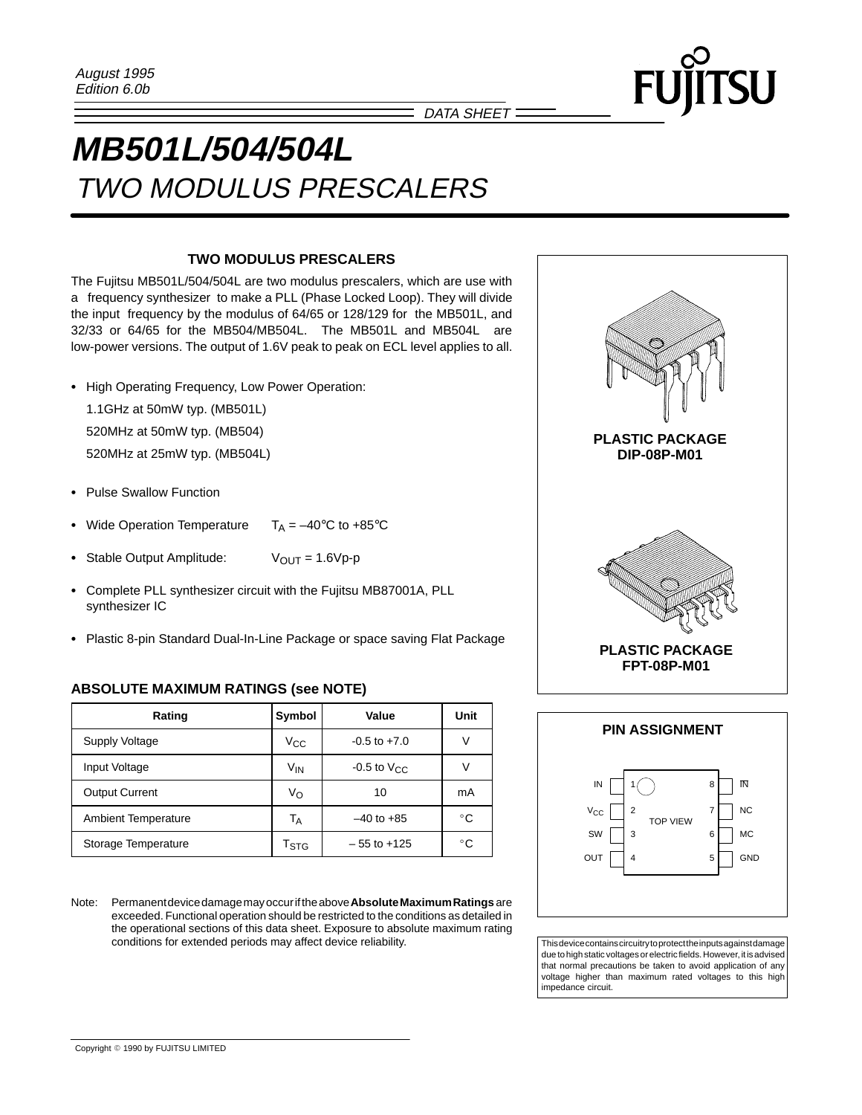DATA SHEET =

# **MB501L/504/504L** TWO MODULUS PRESCALERS

## **TWO MODULUS PRESCALERS**

The Fujitsu MB501L/504/504L are two modulus prescalers, which are use with a frequency synthesizer to make a PLL (Phase Locked Loop). They will divide the input frequency by the modulus of 64/65 or 128/129 for the MB501L, and 32/33 or 64/65 for the MB504/MB504L. The MB501L and MB504L are low-power versions. The output of 1.6V peak to peak on ECL level applies to all.

- High Operating Frequency, Low Power Operation:

1.1GHz at 50mW typ. (MB501L)

520MHz at 50mW typ. (MB504)

520MHz at 25mW typ. (MB504L)

- Pulse Swallow Function
- -Wide Operation Temperature  $T_A = -40^\circ \text{C}$  to +85°C
- Stable Output Amplitude:  $V_{OUT} = 1.6 Vp-p$
- Complete PLL synthesizer circuit with the Fujitsu MB87001A, PLL synthesizer IC
- Plastic 8-pin Standard Dual-In-Line Package or space saving Flat Package

## **ABSOLUTE MAXIMUM RATINGS (see NOTE)**

| Rating                     | Symbol             | Value                |              |
|----------------------------|--------------------|----------------------|--------------|
| <b>Supply Voltage</b>      | Vcc                | $-0.5$ to $+7.0$     | ν            |
| Input Voltage              | V <sub>IN</sub>    | -0.5 to $V_{\rm CC}$ | V            |
| <b>Output Current</b>      | Vo                 | 10                   | mA           |
| <b>Ambient Temperature</b> | $T_A$              | $-40$ to $+85$       | °C           |
| Storage Temperature        | $T_{\mathrm{STG}}$ | $-55$ to $+125$      | $^{\circ}$ C |

Note: Permanent device damage may occur if the above **Absolute Maximum Ratings** are exceeded. Functional operation should be restricted to the conditions as detailed in the operational sections of this data sheet. Exposure to absolute maximum rating conditions for extended periods may affect device reliability. This device contains circuitry to protect the inputs against damage





due to high static voltages or electric fields. However, it is advised that normal precautions be taken to avoid application of any voltage higher than maximum rated voltages to this high impedance circuit.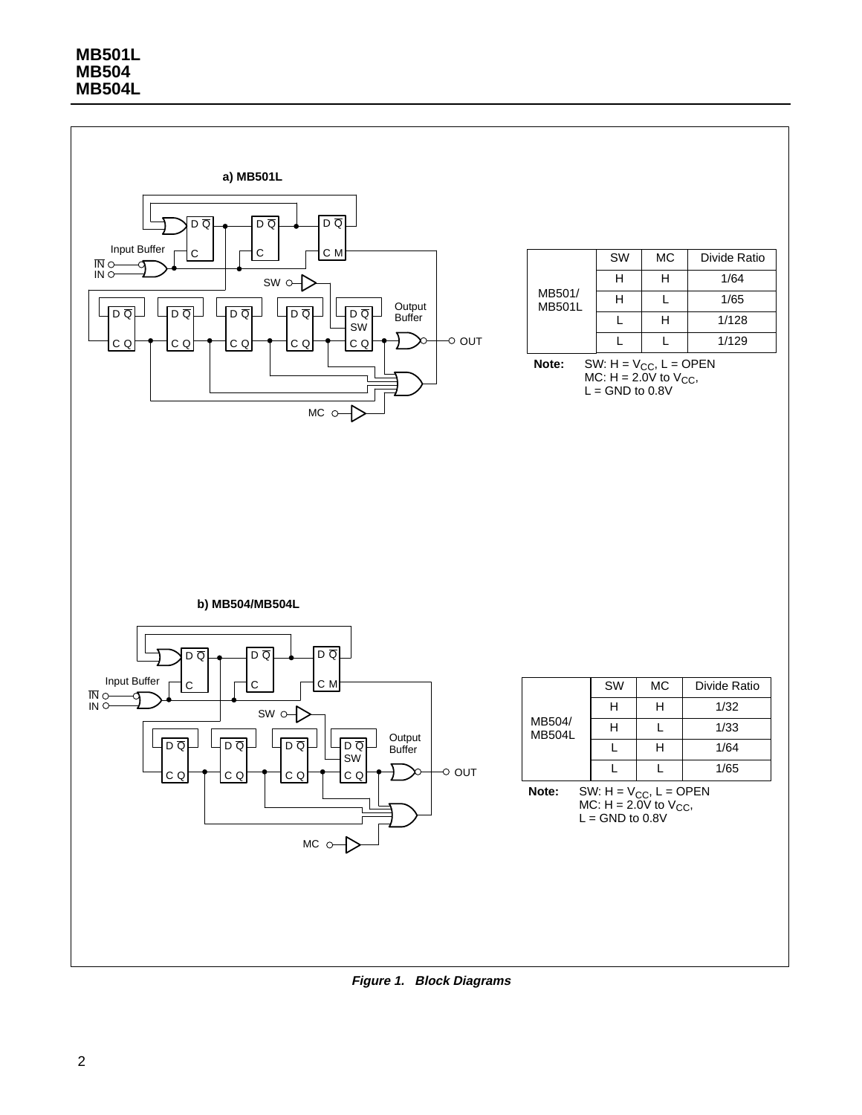

**Figure 1. Block Diagrams**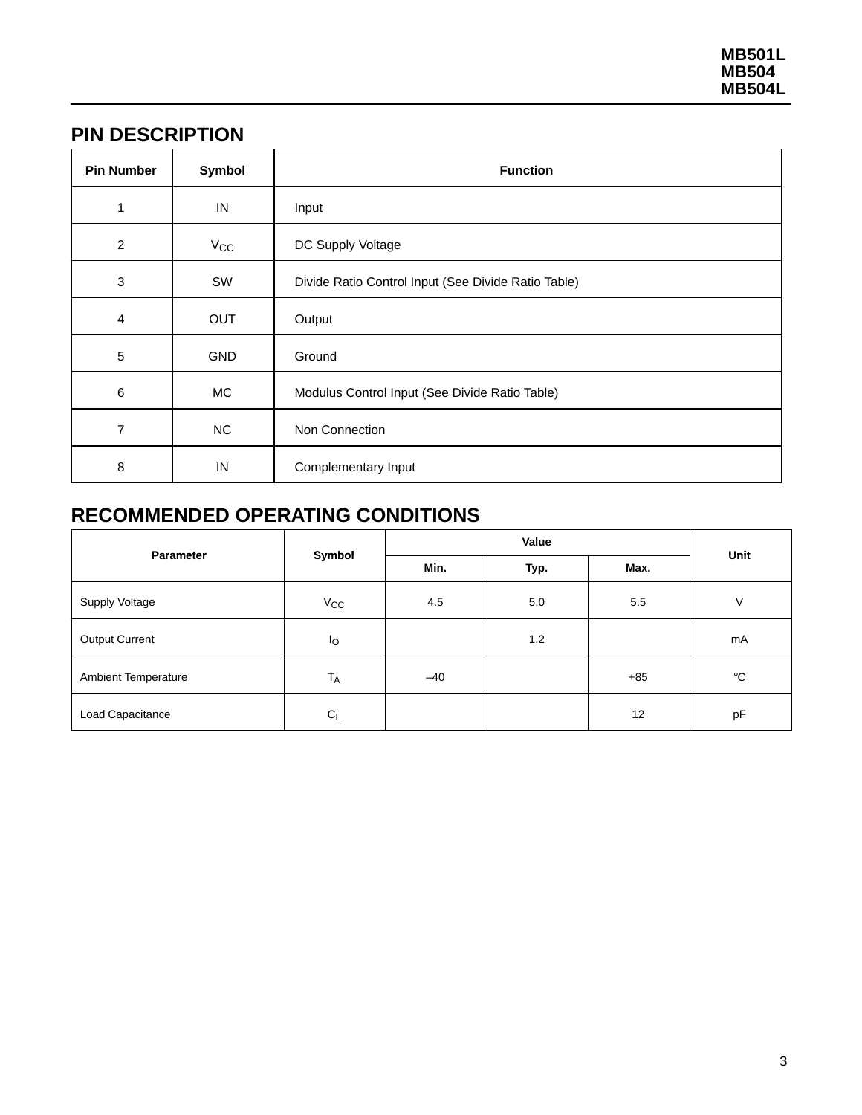## **PIN DESCRIPTION**

| <b>Pin Number</b> | Symbol                  | <b>Function</b>                                     |  |  |
|-------------------|-------------------------|-----------------------------------------------------|--|--|
| 1                 | IN                      | Input                                               |  |  |
| $\overline{2}$    | $V_{\rm CC}$            | DC Supply Voltage                                   |  |  |
| $\mathbf{3}$      | SW                      | Divide Ratio Control Input (See Divide Ratio Table) |  |  |
| $\overline{4}$    | <b>OUT</b>              | Output                                              |  |  |
| 5                 | <b>GND</b>              | Ground                                              |  |  |
| 6                 | МC                      | Modulus Control Input (See Divide Ratio Table)      |  |  |
| 7                 | <b>NC</b>               | Non Connection                                      |  |  |
| 8                 | $\overline{\mathsf{N}}$ | Complementary Input                                 |  |  |

# **RECOMMENDED OPERATING CONDITIONS**

| <b>Parameter</b>    | Symbol       |       |      |       |             |
|---------------------|--------------|-------|------|-------|-------------|
|                     |              | Min.  | Typ. | Max.  | Unit        |
| Supply Voltage      | $V_{\rm CC}$ | 4.5   | 5.0  | 5.5   | $\vee$      |
| Output Current      | $I_{\rm O}$  |       | 1.2  |       | mA          |
| Ambient Temperature | $T_A$        | $-40$ |      | $+85$ | $^{\circ}C$ |
| Load Capacitance    | $C_L$        |       |      | 12    | pF          |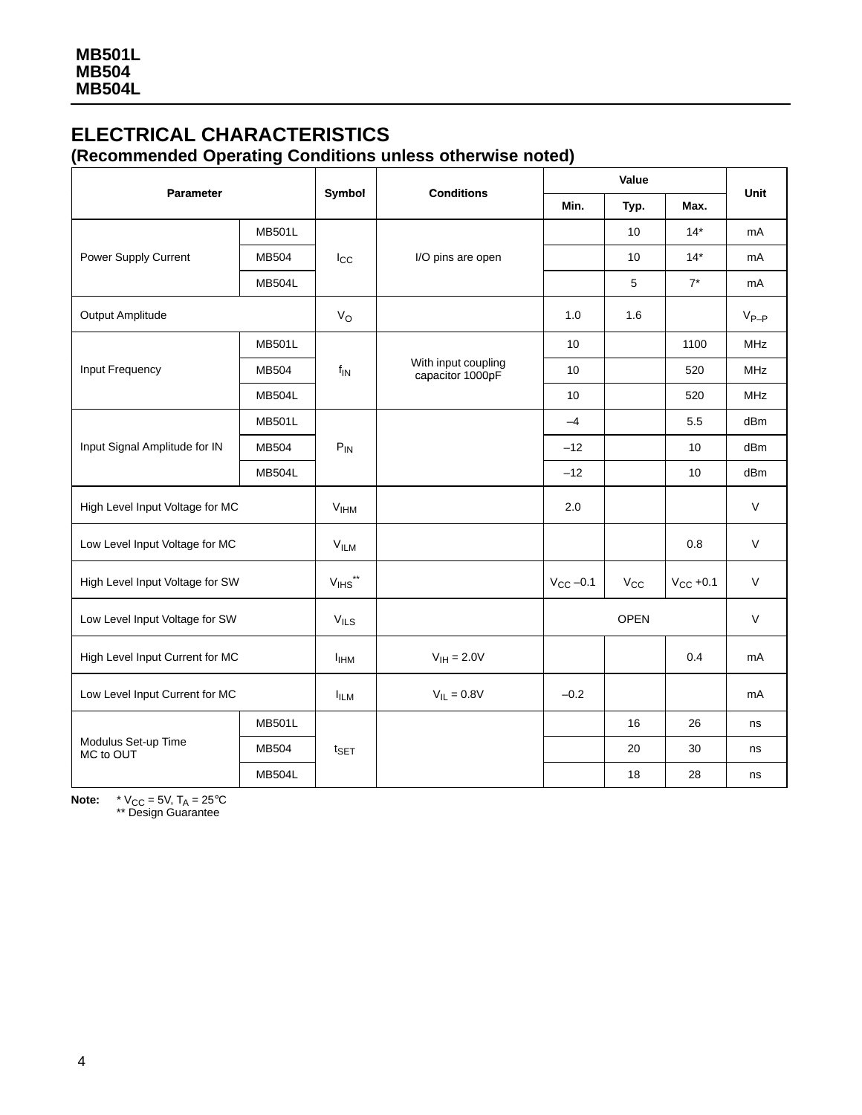## **ELECTRICAL CHARACTERISTICS (Recommended Operating Conditions unless otherwise noted)**

| <b>Parameter</b>                 |               | Symbol                           | <b>Conditions</b>                       | Value           |              |               |            |
|----------------------------------|---------------|----------------------------------|-----------------------------------------|-----------------|--------------|---------------|------------|
|                                  |               |                                  |                                         | Min.            | Typ.         | Max.          | Unit       |
|                                  | <b>MB501L</b> |                                  | I/O pins are open                       |                 | 10           | $14*$         | mA         |
| Power Supply Current             | MB504         | $I_{\rm CC}$                     |                                         |                 | 10           | $14*$         | mA         |
|                                  | <b>MB504L</b> |                                  |                                         |                 | 5            | $7^*$         | mA         |
| Output Amplitude                 |               | $V_{\rm O}$                      |                                         | 1.0             | 1.6          |               | $V_{P-P}$  |
| Input Frequency                  | <b>MB501L</b> |                                  | With input coupling<br>capacitor 1000pF | 10              |              | 1100          | <b>MHz</b> |
|                                  | MB504         | $f_{\mathsf{IN}}$                |                                         | 10 <sup>1</sup> |              | 520           | <b>MHz</b> |
|                                  | <b>MB504L</b> |                                  |                                         | 10              |              | 520           | <b>MHz</b> |
| Input Signal Amplitude for IN    | <b>MB501L</b> | $P_{IN}$                         |                                         | $-4$            |              | 5.5           | dBm        |
|                                  | MB504         |                                  |                                         | $-12$           |              | 10            | dBm        |
|                                  | <b>MB504L</b> |                                  |                                         | $-12$           |              | 10            | dBm        |
| High Level Input Voltage for MC  |               | V <sub>HHM</sub>                 |                                         | 2.0             |              |               | $\vee$     |
| Low Level Input Voltage for MC   |               | V <sub>ILM</sub>                 |                                         |                 |              | 0.8           | $\vee$     |
| High Level Input Voltage for SW  |               | $\mathsf{V}_{\mathsf{IHS}}^{**}$ |                                         | $V_{CC}$ -0.1   | $V_{\rm CC}$ | $V_{CC}$ +0.1 | $\vee$     |
| Low Level Input Voltage for SW   |               | V <sub>ILS</sub>                 |                                         | <b>OPEN</b>     |              | $\vee$        |            |
| High Level Input Current for MC  |               | <b>I</b> <sub>IHM</sub>          | $V_{IH} = 2.0V$                         |                 |              | 0.4           | mA         |
| Low Level Input Current for MC   |               | <b>IILM</b>                      | $V_{IL} = 0.8V$                         | $-0.2$          |              |               | mA         |
| Modulus Set-up Time<br>MC to OUT | <b>MB501L</b> |                                  |                                         |                 | 16           | 26            | ns         |
|                                  | MB504         | $t_{\sf SET}$                    |                                         |                 | 20           | 30            | ns         |
|                                  | <b>MB504L</b> |                                  |                                         |                 | 18           | 28            | ns         |

**Note:**  $*V_{CC} = 5V$ ,  $T_A = 25^{\circ}C$ <br>\*\* Design Guarantee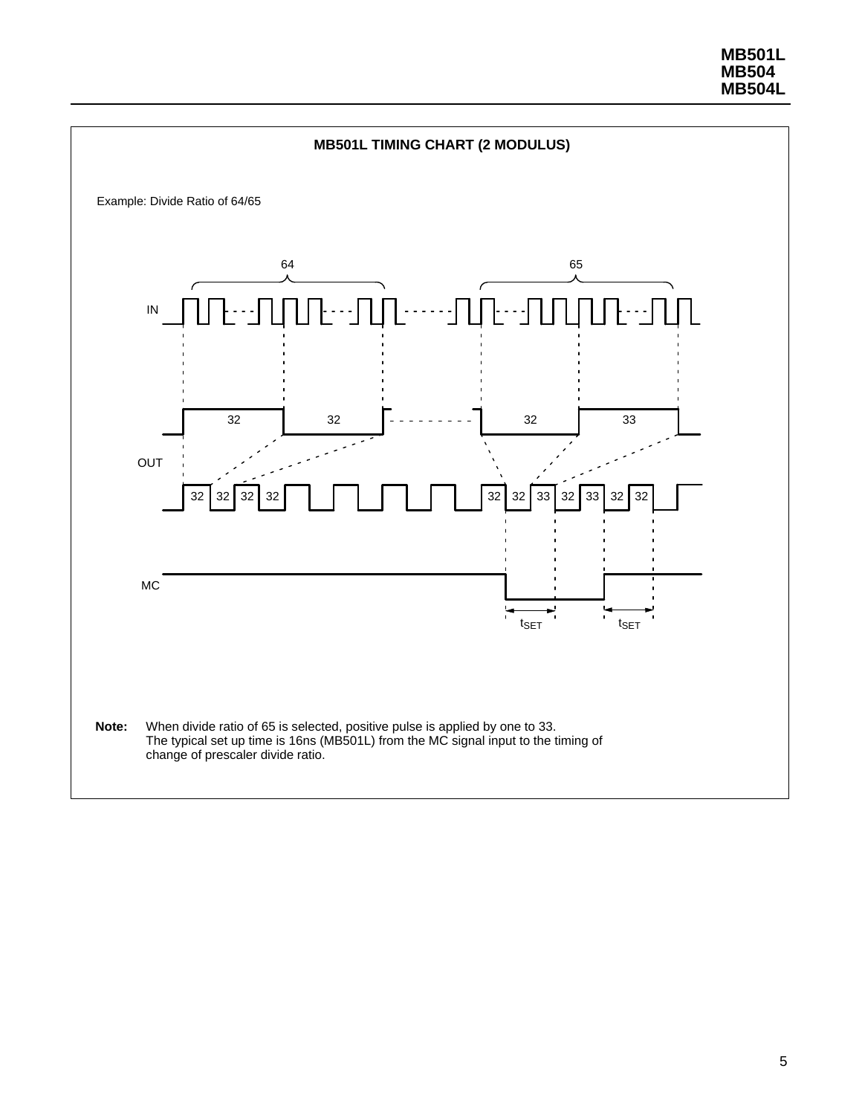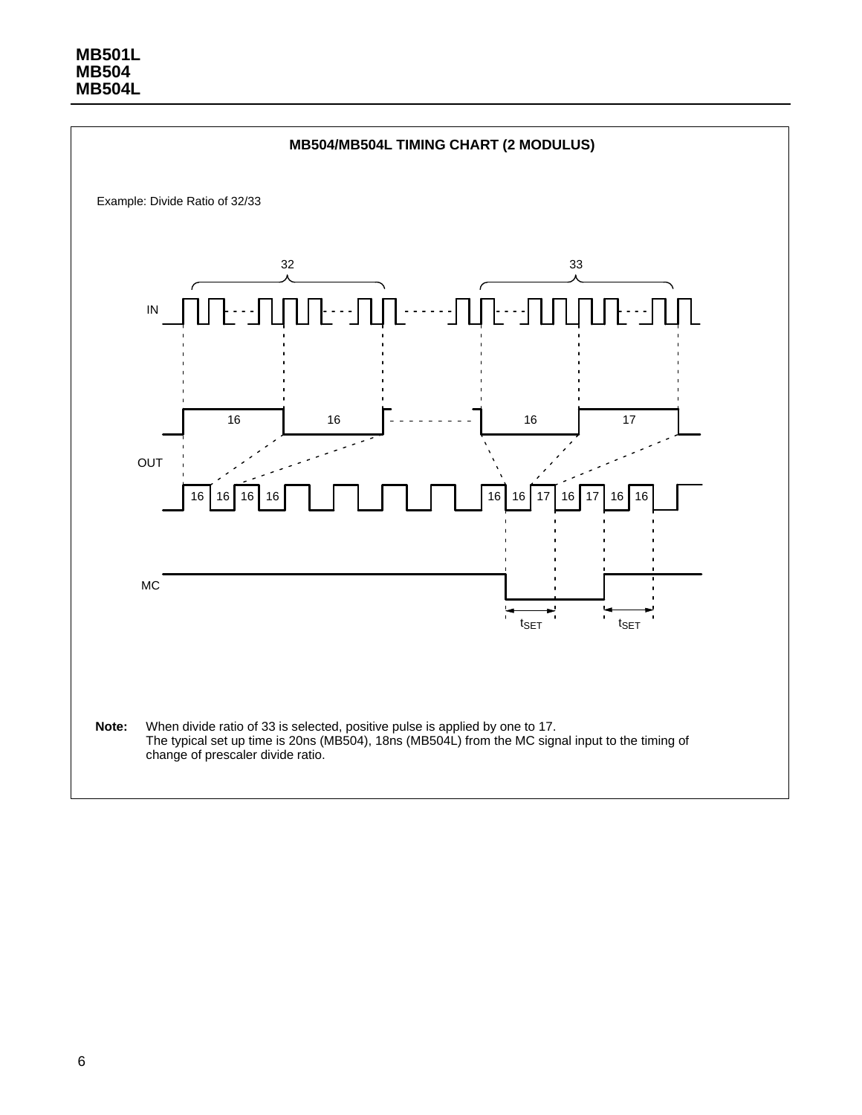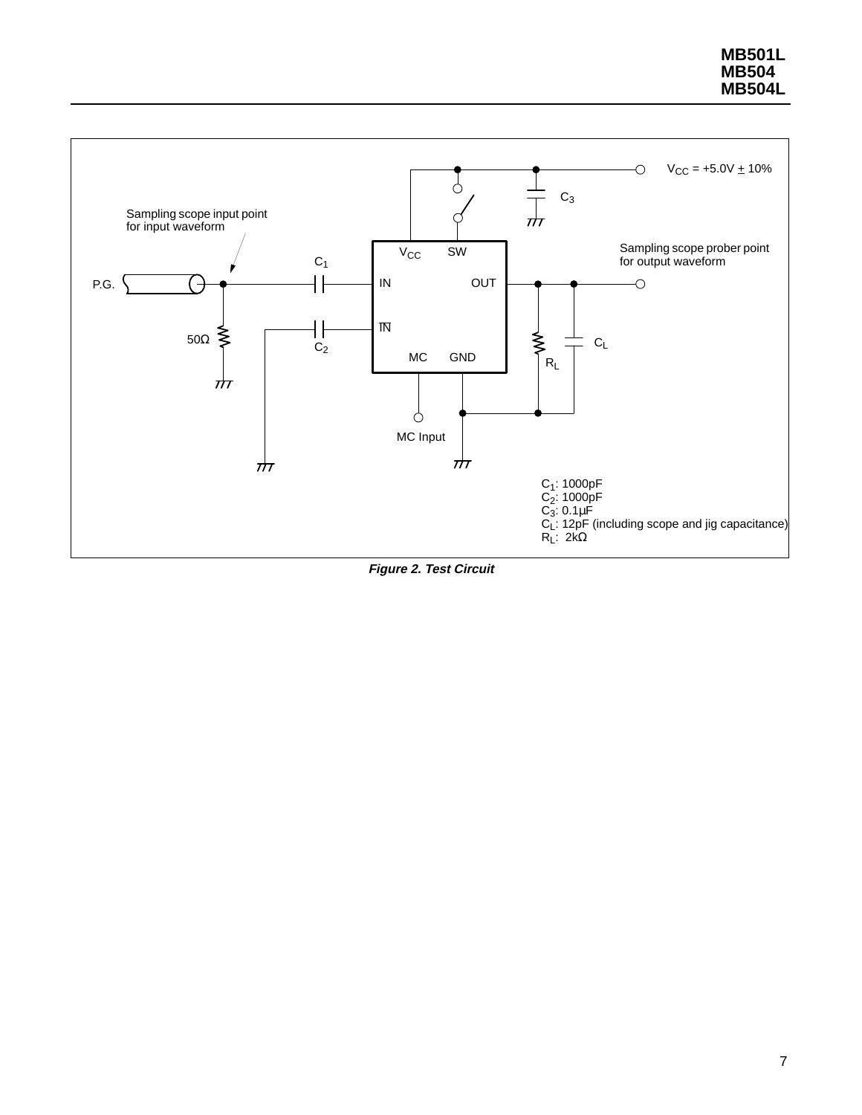

**Figure 2. Test Circuit**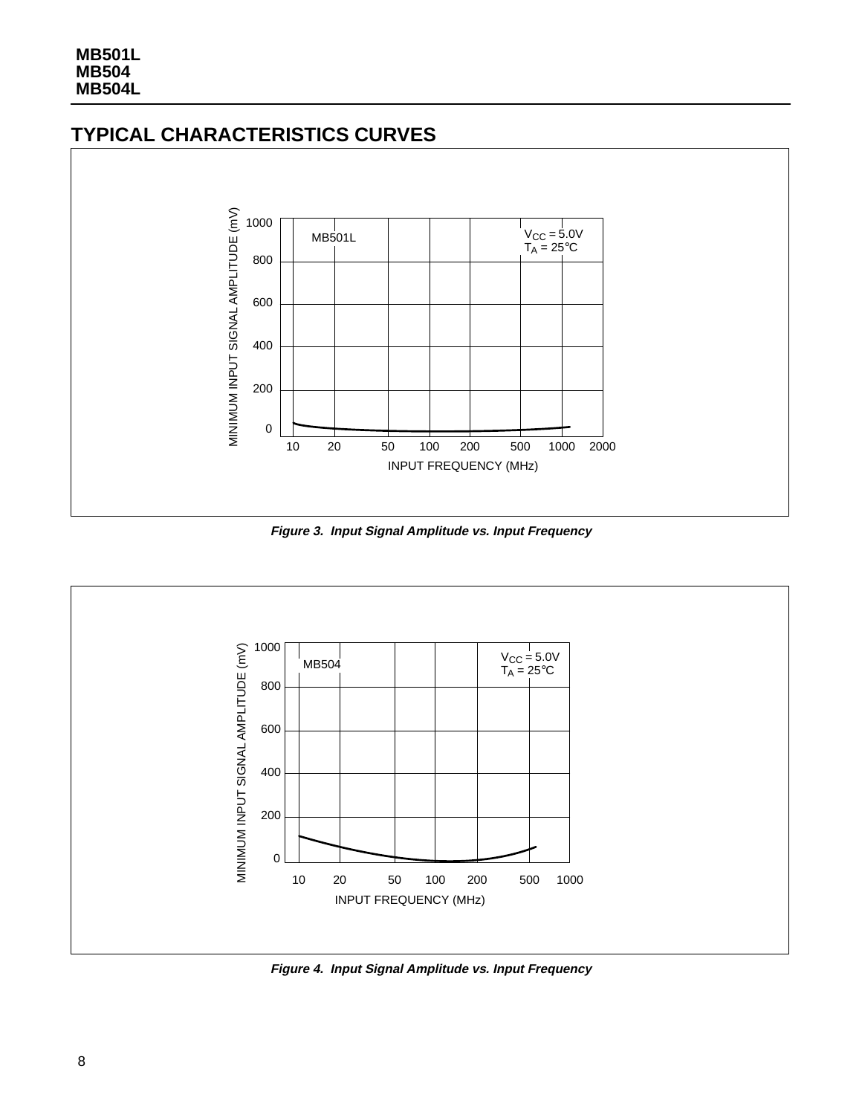## **TYPICAL CHARACTERISTICS CURVES**



**Figure 3. Input Signal Amplitude vs. Input Frequency**



**Figure 4. Input Signal Amplitude vs. Input Frequency**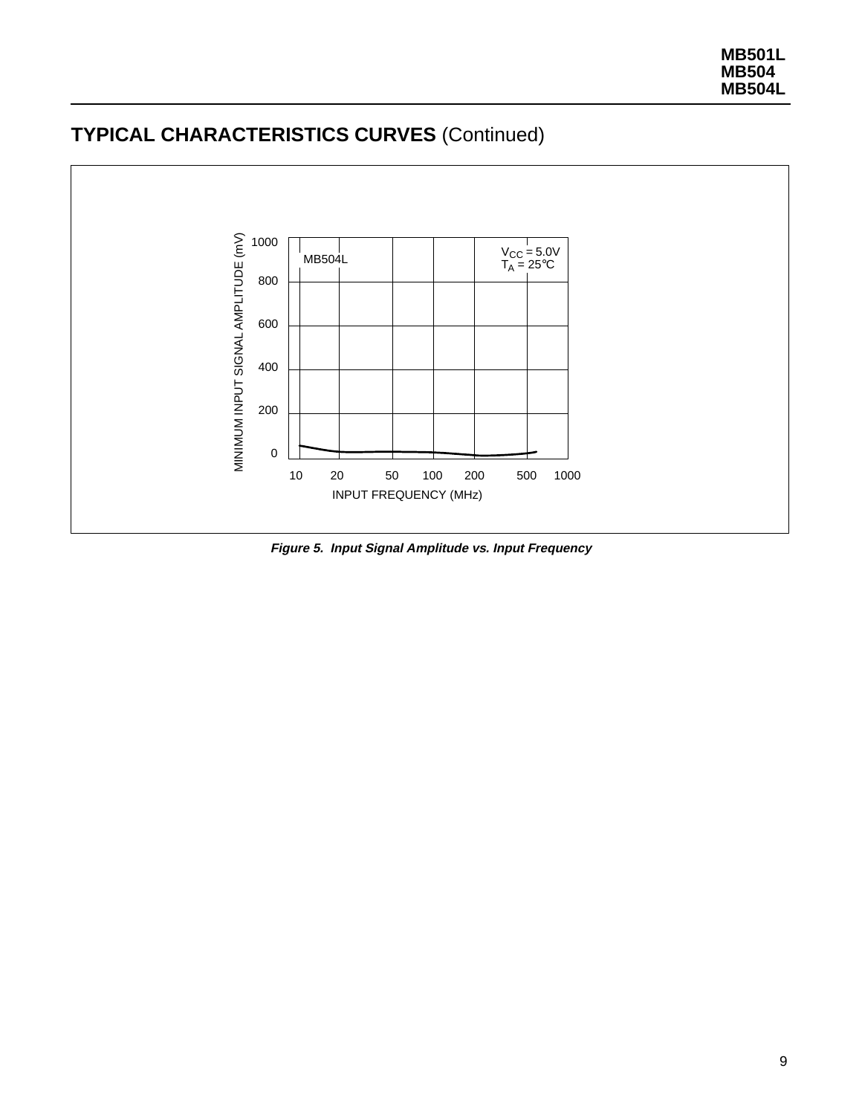

## **TYPICAL CHARACTERISTICS CURVES** (Continued)

**Figure 5. Input Signal Amplitude vs. Input Frequency**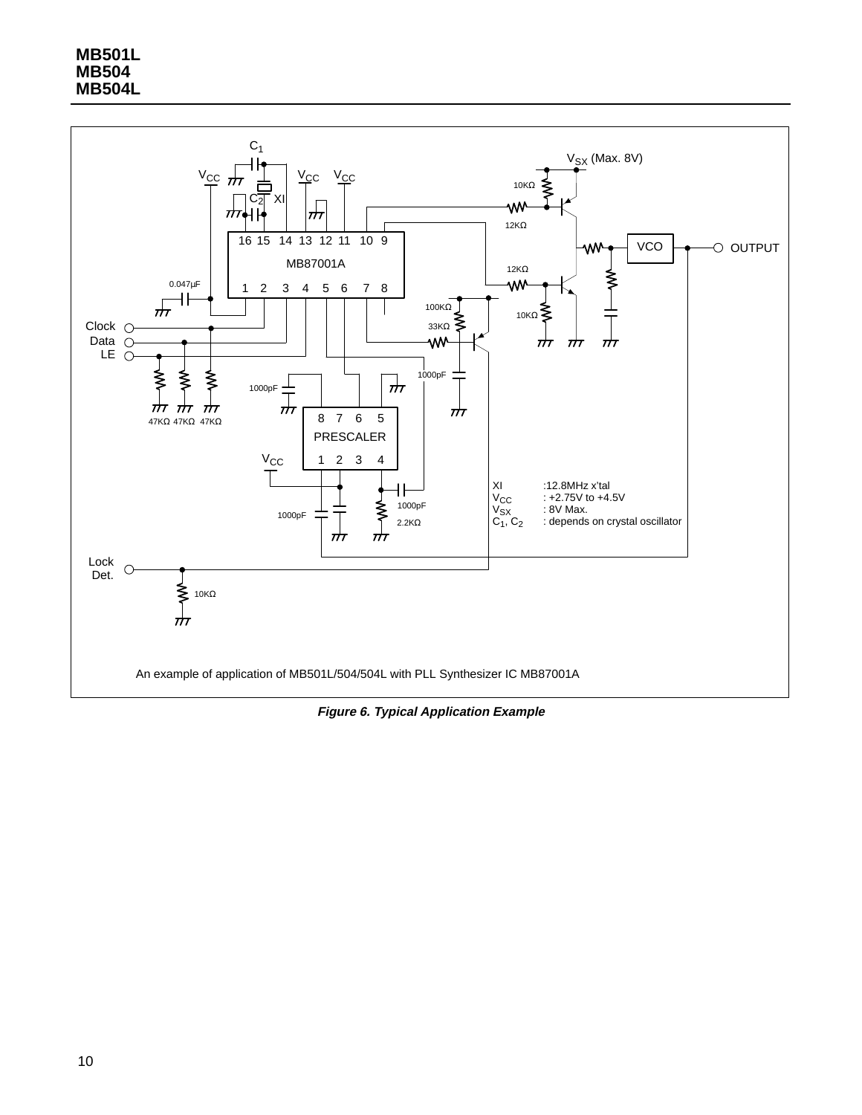

**Figure 6. Typical Application Example**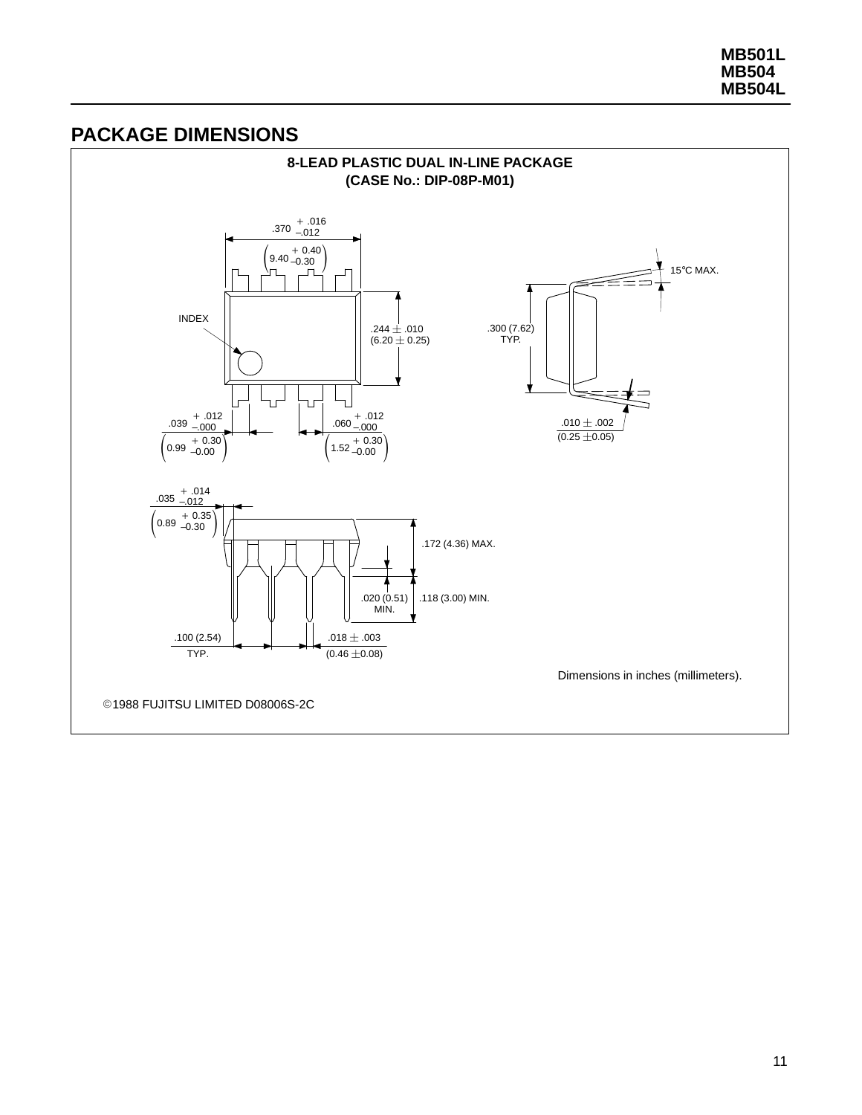## **PACKAGE DIMENSIONS**

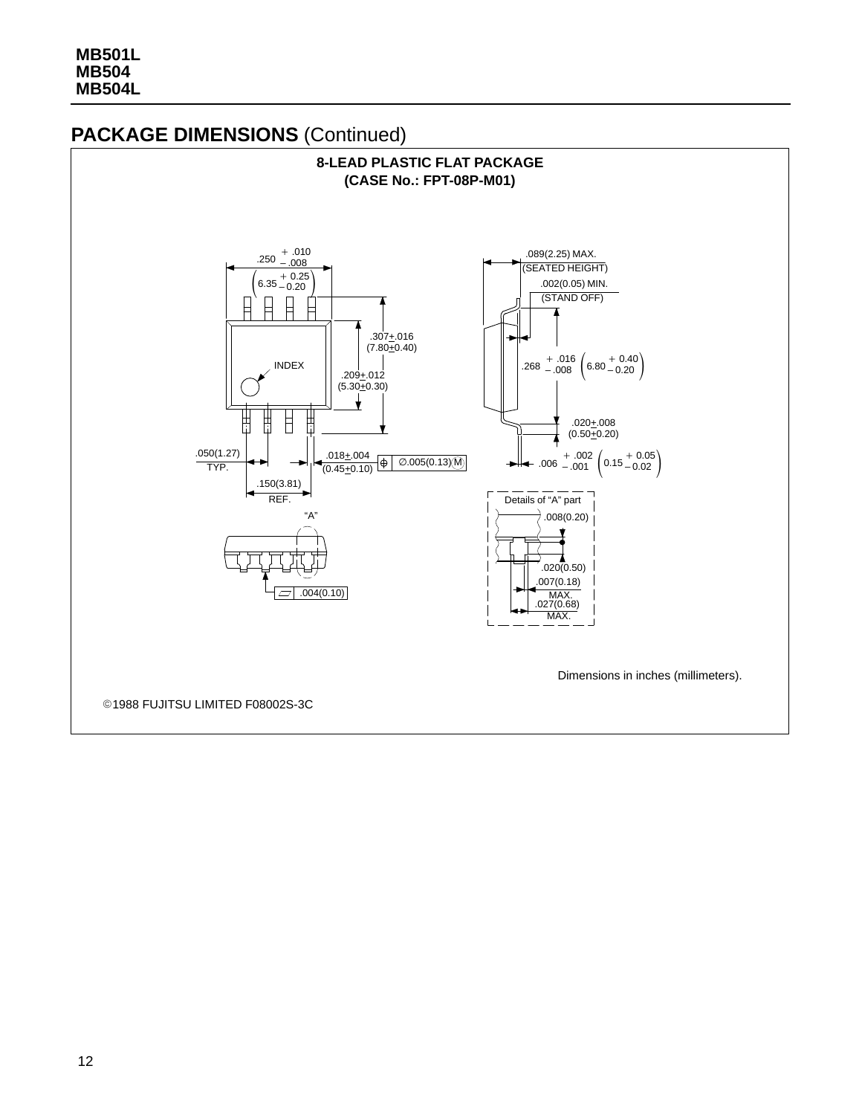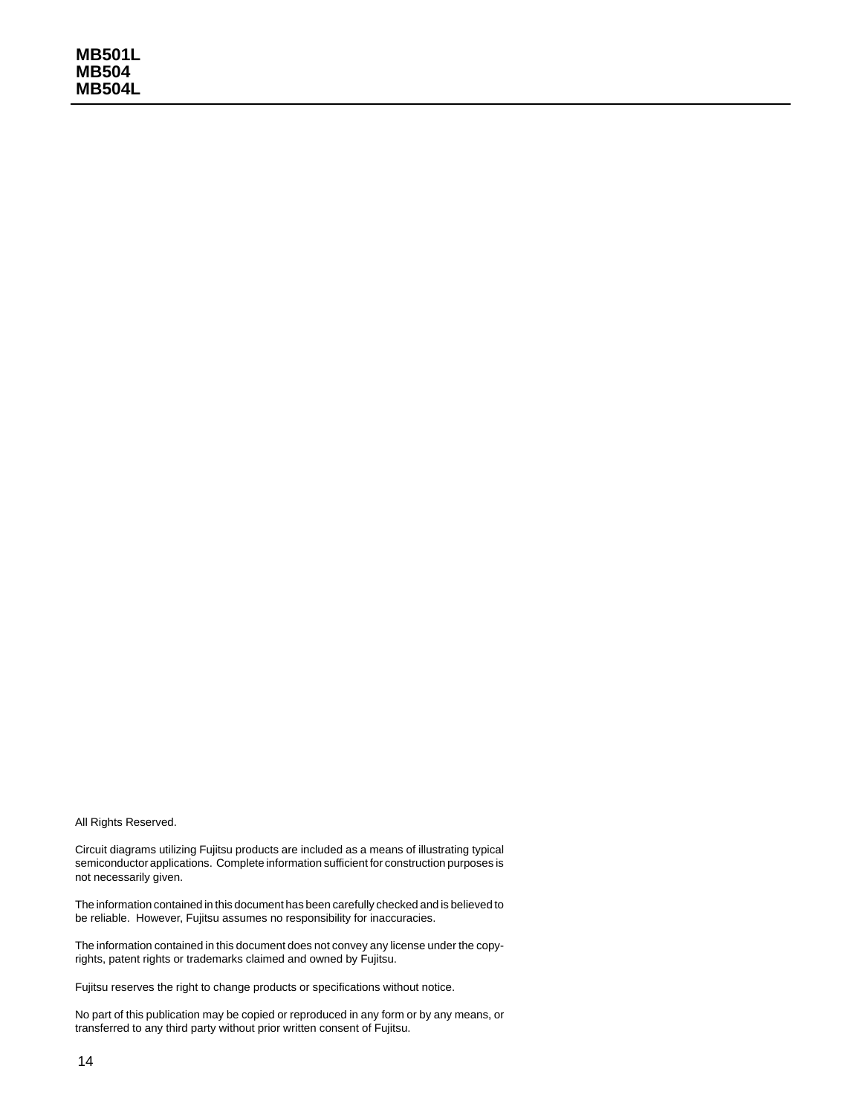#### All Rights Reserved.

Circuit diagrams utilizing Fujitsu products are included as a means of illustrating typical semiconductor applications. Complete information sufficient for construction purposes is not necessarily given.

The information contained in this document has been carefully checked and is believed to be reliable. However, Fujitsu assumes no responsibility for inaccuracies.

The information contained in this document does not convey any license under the copyrights, patent rights or trademarks claimed and owned by Fujitsu.

Fujitsu reserves the right to change products or specifications without notice.

No part of this publication may be copied or reproduced in any form or by any means, or transferred to any third party without prior written consent of Fujitsu.